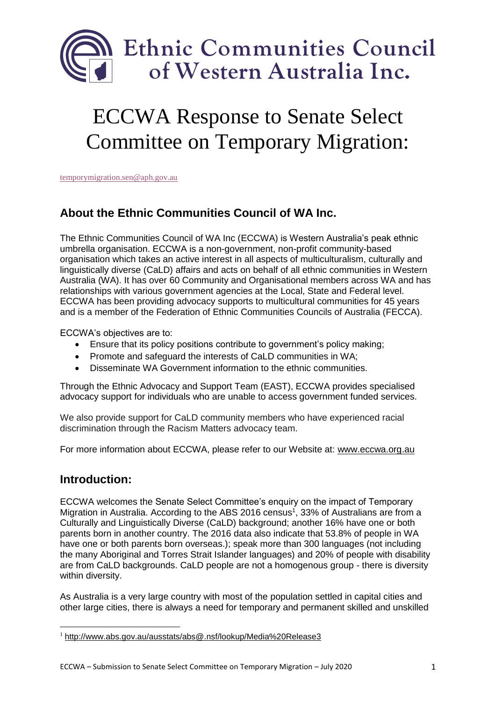

# ECCWA Response to Senate Select Committee on Temporary Migration:

[temporymigration.sen@aph.gov.au](mailto:temporymigration.sen@aph.gov.au)

# **About the Ethnic Communities Council of WA Inc.**

The Ethnic Communities Council of WA Inc (ECCWA) is Western Australia's peak ethnic umbrella organisation. ECCWA is a non-government, non-profit community-based organisation which takes an active interest in all aspects of multiculturalism, culturally and linguistically diverse (CaLD) affairs and acts on behalf of all ethnic communities in Western Australia (WA). It has over 60 Community and Organisational members across WA and has relationships with various government agencies at the Local, State and Federal level. ECCWA has been providing advocacy supports to multicultural communities for 45 years and is a member of the Federation of Ethnic Communities Councils of Australia (FECCA).

ECCWA's objectives are to:

- Ensure that its policy positions contribute to government's policy making;
- Promote and safeguard the interests of CaLD communities in WA;
- Disseminate WA Government information to the ethnic communities.

Through the Ethnic Advocacy and Support Team (EAST), ECCWA provides specialised advocacy support for individuals who are unable to access government funded services.

We also provide support for CaLD community members who have experienced racial discrimination through the Racism Matters advocacy team.

For more information about ECCWA, please refer to our Website at: [www.eccwa.org.au](http://www.eccwa.org.au/)

## **Introduction:**

1

ECCWA welcomes the Senate Select Committee's enquiry on the impact of Temporary Migration in Australia. According to the ABS 2016 census<sup>1</sup>, 33% of Australians are from a Culturally and Linguistically Diverse (CaLD) background; another 16% have one or both parents born in another country. The 2016 data also indicate that 53.8% of people in WA have one or both parents born overseas.); speak more than 300 languages (not including the many Aboriginal and Torres Strait Islander languages) and 20% of people with disability are from CaLD backgrounds. CaLD people are not a homogenous group - there is diversity within diversity.

As Australia is a very large country with most of the population settled in capital cities and other large cities, there is always a need for temporary and permanent skilled and unskilled

<sup>1</sup> <http://www.abs.gov.au/ausstats/abs@.nsf/lookup/Media%20Release3>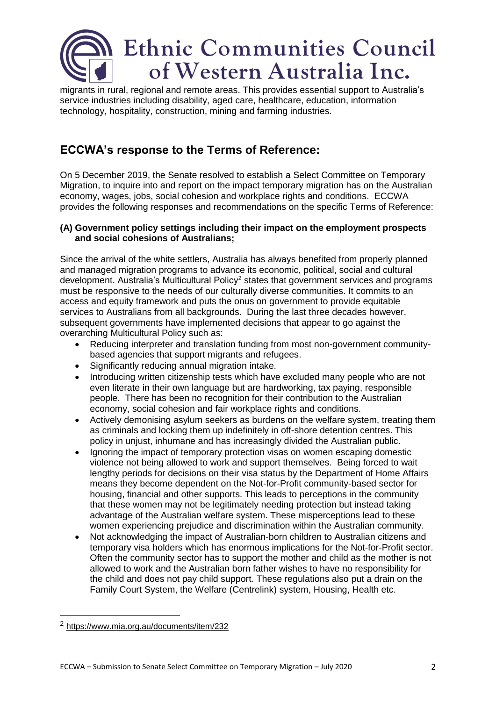

migrants in rural, regional and remote areas. This provides essential support to Australia's service industries including disability, aged care, healthcare, education, information technology, hospitality, construction, mining and farming industries.

## **ECCWA's response to the Terms of Reference:**

On 5 December 2019, the Senate resolved to establish a Select Committee on Temporary Migration, to inquire into and report on the impact temporary migration has on the Australian economy, wages, jobs, social cohesion and workplace rights and conditions. ECCWA provides the following responses and recommendations on the specific Terms of Reference:

#### **(A) Government policy settings including their impact on the employment prospects and social cohesions of Australians;**

Since the arrival of the white settlers, Australia has always benefited from properly planned and managed migration programs to advance its economic, political, social and cultural development. Australia's Multicultural Policy<sup>2</sup> states that government services and programs must be responsive to the needs of our culturally diverse communities. It commits to an access and equity framework and puts the onus on government to provide equitable services to Australians from all backgrounds. During the last three decades however, subsequent governments have implemented decisions that appear to go against the overarching Multicultural Policy such as:

- Reducing interpreter and translation funding from most non-government communitybased agencies that support migrants and refugees.
- Significantly reducing annual migration intake.
- Introducing written citizenship tests which have excluded many people who are not even literate in their own language but are hardworking, tax paying, responsible people. There has been no recognition for their contribution to the Australian economy, social cohesion and fair workplace rights and conditions.
- Actively demonising asylum seekers as burdens on the welfare system, treating them as criminals and locking them up indefinitely in off-shore detention centres. This policy in unjust, inhumane and has increasingly divided the Australian public.
- Ignoring the impact of temporary protection visas on women escaping domestic violence not being allowed to work and support themselves. Being forced to wait lengthy periods for decisions on their visa status by the Department of Home Affairs means they become dependent on the Not-for-Profit community-based sector for housing, financial and other supports. This leads to perceptions in the community that these women may not be legitimately needing protection but instead taking advantage of the Australian welfare system. These misperceptions lead to these women experiencing prejudice and discrimination within the Australian community.
- Not acknowledging the impact of Australian-born children to Australian citizens and temporary visa holders which has enormous implications for the Not-for-Profit sector. Often the community sector has to support the mother and child as the mother is not allowed to work and the Australian born father wishes to have no responsibility for the child and does not pay child support. These regulations also put a drain on the Family Court System, the Welfare (Centrelink) system, Housing, Health etc.

1

<sup>2</sup> <https://www.mia.org.au/documents/item/232>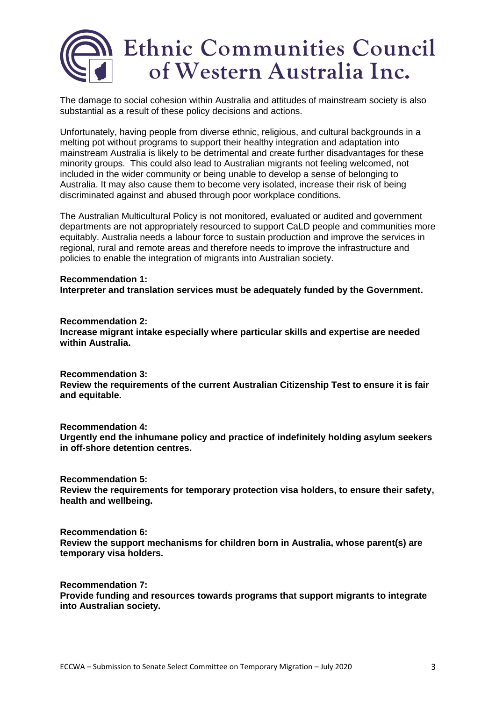

The damage to social cohesion within Australia and attitudes of mainstream society is also substantial as a result of these policy decisions and actions.

Unfortunately, having people from diverse ethnic, religious, and cultural backgrounds in a melting pot without programs to support their healthy integration and adaptation into mainstream Australia is likely to be detrimental and create further disadvantages for these minority groups. This could also lead to Australian migrants not feeling welcomed, not included in the wider community or being unable to develop a sense of belonging to Australia. It may also cause them to become very isolated, increase their risk of being discriminated against and abused through poor workplace conditions.

The Australian Multicultural Policy is not monitored, evaluated or audited and government departments are not appropriately resourced to support CaLD people and communities more equitably. Australia needs a labour force to sustain production and improve the services in regional, rural and remote areas and therefore needs to improve the infrastructure and policies to enable the integration of migrants into Australian society.

#### **Recommendation 1: Interpreter and translation services must be adequately funded by the Government.**

**Recommendation 2: Increase migrant intake especially where particular skills and expertise are needed within Australia.**

**Recommendation 3:**

**Review the requirements of the current Australian Citizenship Test to ensure it is fair and equitable.**

**Recommendation 4:**

**Urgently end the inhumane policy and practice of indefinitely holding asylum seekers in off-shore detention centres.**

**Recommendation 5: Review the requirements for temporary protection visa holders, to ensure their safety, health and wellbeing.**

**Recommendation 6: Review the support mechanisms for children born in Australia, whose parent(s) are temporary visa holders.**

**Recommendation 7: Provide funding and resources towards programs that support migrants to integrate into Australian society.**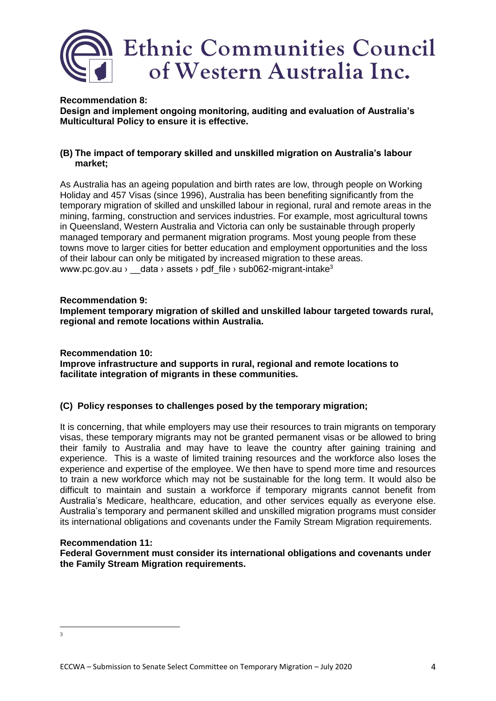

**Recommendation 8: Design and implement ongoing monitoring, auditing and evaluation of Australia's Multicultural Policy to ensure it is effective.**

#### **(B) The impact of temporary skilled and unskilled migration on Australia's labour market;**

As Australia has an ageing population and birth rates are low, through people on Working Holiday and 457 Visas (since 1996), Australia has been benefiting significantly from the temporary migration of skilled and unskilled labour in regional, rural and remote areas in the mining, farming, construction and services industries. For example, most agricultural towns in Queensland, Western Australia and Victoria can only be sustainable through properly managed temporary and permanent migration programs. Most young people from these towns move to larger cities for better education and employment opportunities and the loss of their labour can only be mitigated by increased migration to these areas. www.pc.gov.au › data › assets › pdf file › sub062-migrant-intake<sup>3</sup>

#### **Recommendation 9:**

**Implement temporary migration of skilled and unskilled labour targeted towards rural, regional and remote locations within Australia.**

#### **Recommendation 10:**

**Improve infrastructure and supports in rural, regional and remote locations to facilitate integration of migrants in these communities.**

#### **(C) Policy responses to challenges posed by the temporary migration;**

It is concerning, that while employers may use their resources to train migrants on temporary visas, these temporary migrants may not be granted permanent visas or be allowed to bring their family to Australia and may have to leave the country after gaining training and experience. This is a waste of limited training resources and the workforce also loses the experience and expertise of the employee. We then have to spend more time and resources to train a new workforce which may not be sustainable for the long term. It would also be difficult to maintain and sustain a workforce if temporary migrants cannot benefit from Australia's Medicare, healthcare, education, and other services equally as everyone else. Australia's temporary and permanent skilled and unskilled migration programs must consider its international obligations and covenants under the Family Stream Migration requirements.

#### **Recommendation 11:**

**Federal Government must consider its international obligations and covenants under the Family Stream Migration requirements.**

 $\frac{1}{3}$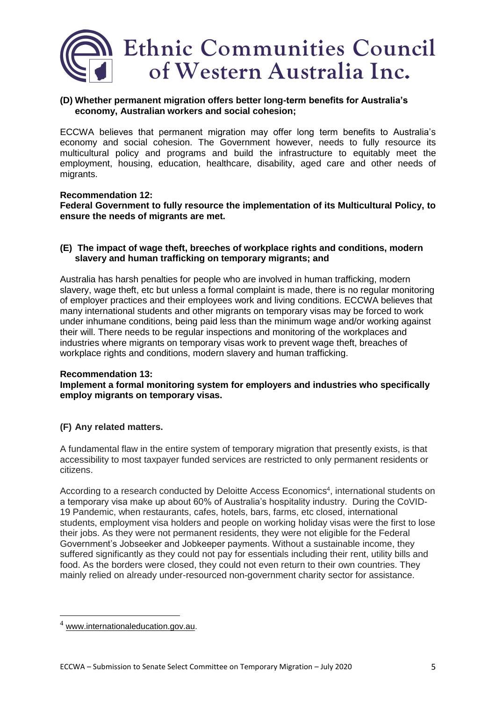

#### **(D) Whether permanent migration offers better long-term benefits for Australia's economy, Australian workers and social cohesion;**

ECCWA believes that permanent migration may offer long term benefits to Australia's economy and social cohesion. The Government however, needs to fully resource its multicultural policy and programs and build the infrastructure to equitably meet the employment, housing, education, healthcare, disability, aged care and other needs of migrants.

#### **Recommendation 12: Federal Government to fully resource the implementation of its Multicultural Policy, to ensure the needs of migrants are met.**

#### **(E) The impact of wage theft, breeches of workplace rights and conditions, modern slavery and human trafficking on temporary migrants; and**

Australia has harsh penalties for people who are involved in human trafficking, modern slavery, wage theft, etc but unless a formal complaint is made, there is no regular monitoring of employer practices and their employees work and living conditions. ECCWA believes that many international students and other migrants on temporary visas may be forced to work under inhumane conditions, being paid less than the minimum wage and/or working against their will. There needs to be regular inspections and monitoring of the workplaces and industries where migrants on temporary visas work to prevent wage theft, breaches of workplace rights and conditions, modern slavery and human trafficking.

#### **Recommendation 13:**

**Implement a formal monitoring system for employers and industries who specifically employ migrants on temporary visas.**

#### **(F) Any related matters.**

A fundamental flaw in the entire system of temporary migration that presently exists, is that accessibility to most taxpayer funded services are restricted to only permanent residents or citizens.

According to a research conducted by Deloitte Access Economics<sup>4</sup>, international students on a temporary visa make up about 60% of Australia's hospitality industry. During the CoVID-19 Pandemic, when restaurants, cafes, hotels, bars, farms, etc closed, international students, employment visa holders and people on working holiday visas were the first to lose their jobs. As they were not permanent residents, they were not eligible for the Federal Government's Jobseeker and Jobkeeper payments. Without a sustainable income, they suffered significantly as they could not pay for essentials including their rent, utility bills and food. As the borders were closed, they could not even return to their own countries. They mainly relied on already under-resourced non-government charity sector for assistance.

1

 $4$  [www.internationaleducation.gov.au.](http://www.internationaleducation.gov.au/)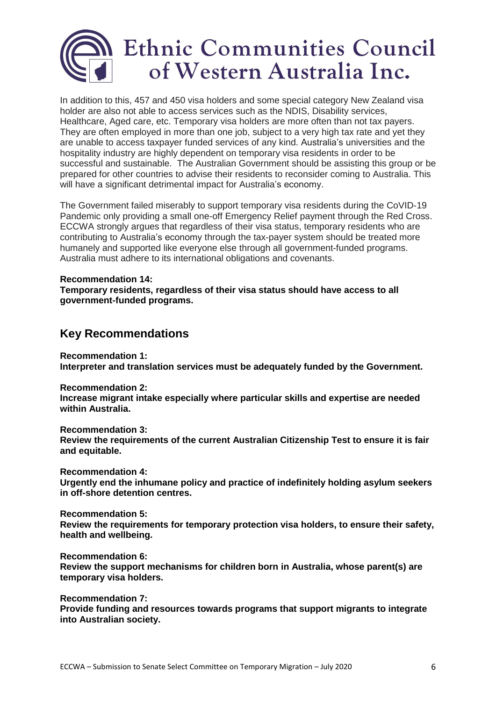

In addition to this, 457 and 450 visa holders and some special category New Zealand visa holder are also not able to access services such as the NDIS, Disability services, Healthcare, Aged care, etc. Temporary visa holders are more often than not tax payers. They are often employed in more than one job, subject to a very high tax rate and yet they are unable to access taxpayer funded services of any kind. Australia's universities and the hospitality industry are highly dependent on temporary visa residents in order to be successful and sustainable. The Australian Government should be assisting this group or be prepared for other countries to advise their residents to reconsider coming to Australia. This will have a significant detrimental impact for Australia's economy.

The Government failed miserably to support temporary visa residents during the CoVID-19 Pandemic only providing a small one-off Emergency Relief payment through the Red Cross. ECCWA strongly argues that regardless of their visa status, temporary residents who are contributing to Australia's economy through the tax-payer system should be treated more humanely and supported like everyone else through all government-funded programs. Australia must adhere to its international obligations and covenants.

# **Recommendation 14:**

**Temporary residents, regardless of their visa status should have access to all government-funded programs.**

### **Key Recommendations**

**Recommendation 1: Interpreter and translation services must be adequately funded by the Government.**

**Recommendation 2: Increase migrant intake especially where particular skills and expertise are needed within Australia.**

**Recommendation 3: Review the requirements of the current Australian Citizenship Test to ensure it is fair and equitable.**

**Recommendation 4:**

**Urgently end the inhumane policy and practice of indefinitely holding asylum seekers in off-shore detention centres.**

**Recommendation 5: Review the requirements for temporary protection visa holders, to ensure their safety, health and wellbeing.**

**Recommendation 6: Review the support mechanisms for children born in Australia, whose parent(s) are temporary visa holders.**

**Recommendation 7: Provide funding and resources towards programs that support migrants to integrate into Australian society.**